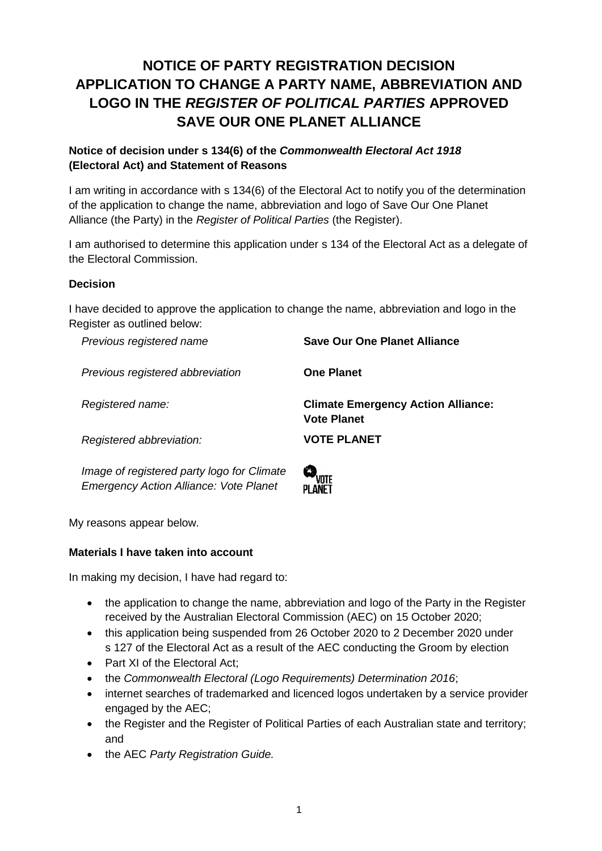# **NOTICE OF PARTY REGISTRATION DECISION APPLICATION TO CHANGE A PARTY NAME, ABBREVIATION AND LOGO IN THE** *REGISTER OF POLITICAL PARTIES* **APPROVED SAVE OUR ONE PLANET ALLIANCE**

### **Notice of decision under s 134(6) of the** *Commonwealth Electoral Act 1918* **(Electoral Act) and Statement of Reasons**

I am writing in accordance with s 134(6) of the Electoral Act to notify you of the determination of the application to change the name, abbreviation and logo of Save Our One Planet Alliance (the Party) in the *Register of Political Parties* (the Register).

I am authorised to determine this application under s 134 of the Electoral Act as a delegate of the Electoral Commission.

### **Decision**

I have decided to approve the application to change the name, abbreviation and logo in the Register as outlined below:

*Previous registered name* **Save Our One Planet Alliance** *Previous registered abbreviation* **One Planet** *Registered name:* **Climate Emergency Action Alliance: Vote Planet** *Registered abbreviation:* **VOTE PLANET**

*Image of registered party logo for Climate Emergency Action Alliance: Vote Planet* 



My reasons appear below.

### **Materials I have taken into account**

In making my decision, I have had regard to:

- the application to change the name, abbreviation and logo of the Party in the Register received by the Australian Electoral Commission (AEC) on 15 October 2020;
- this application being suspended from 26 October 2020 to 2 December 2020 under s 127 of the Electoral Act as a result of the AEC conducting the Groom by election
- Part XI of the Electoral Act:
- the *Commonwealth Electoral (Logo Requirements) Determination 2016*;
- internet searches of trademarked and licenced logos undertaken by a service provider engaged by the AEC;
- the Register and the Register of Political Parties of each Australian state and territory; and
- the AEC *Party Registration Guide.*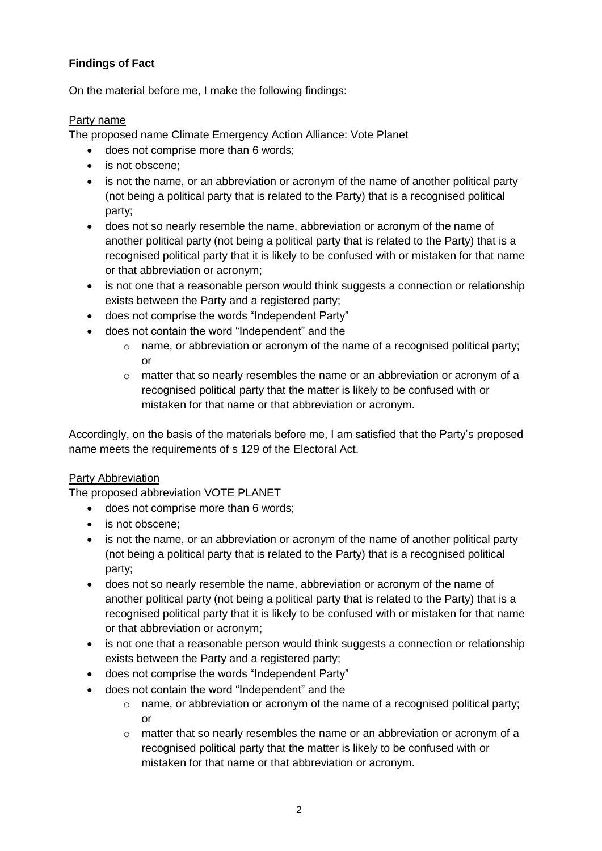# **Findings of Fact**

On the material before me, I make the following findings:

### Party name

The proposed name Climate Emergency Action Alliance: Vote Planet

- does not comprise more than 6 words;
- is not obscene:
- is not the name, or an abbreviation or acronym of the name of another political party (not being a political party that is related to the Party) that is a recognised political party;
- does not so nearly resemble the name, abbreviation or acronym of the name of another political party (not being a political party that is related to the Party) that is a recognised political party that it is likely to be confused with or mistaken for that name or that abbreviation or acronym;
- is not one that a reasonable person would think suggests a connection or relationship exists between the Party and a registered party;
- does not comprise the words "Independent Party"
- does not contain the word "Independent" and the
	- $\circ$  name, or abbreviation or acronym of the name of a recognised political party; or
	- $\circ$  matter that so nearly resembles the name or an abbreviation or acronym of a recognised political party that the matter is likely to be confused with or mistaken for that name or that abbreviation or acronym.

Accordingly, on the basis of the materials before me, I am satisfied that the Party's proposed name meets the requirements of s 129 of the Electoral Act.

### Party Abbreviation

The proposed abbreviation VOTE PLANET

- does not comprise more than 6 words;
- is not obscene;
- is not the name, or an abbreviation or acronym of the name of another political party (not being a political party that is related to the Party) that is a recognised political party;
- does not so nearly resemble the name, abbreviation or acronym of the name of another political party (not being a political party that is related to the Party) that is a recognised political party that it is likely to be confused with or mistaken for that name or that abbreviation or acronym;
- is not one that a reasonable person would think suggests a connection or relationship exists between the Party and a registered party;
- does not comprise the words "Independent Party"
	- does not contain the word "Independent" and the
		- $\circ$  name, or abbreviation or acronym of the name of a recognised political party; or
		- $\circ$  matter that so nearly resembles the name or an abbreviation or acronym of a recognised political party that the matter is likely to be confused with or mistaken for that name or that abbreviation or acronym.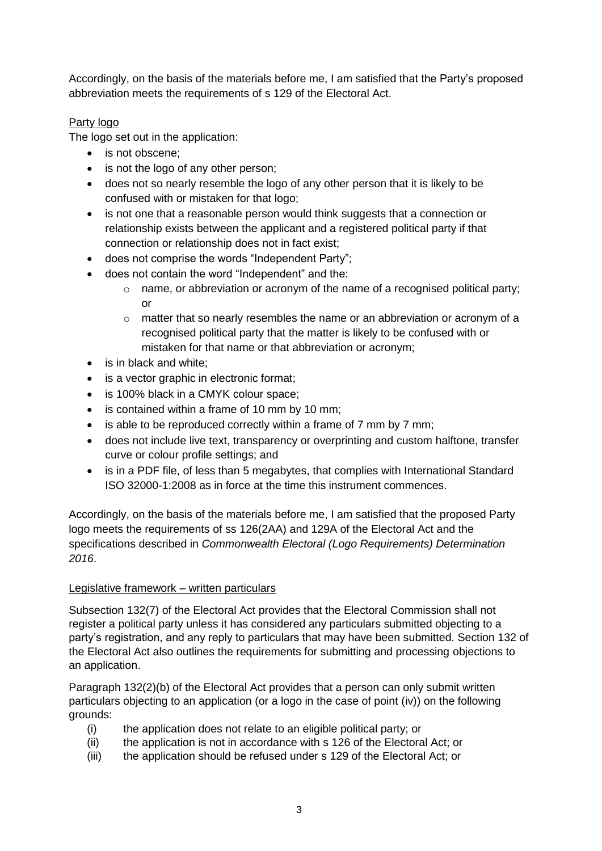Accordingly, on the basis of the materials before me, I am satisfied that the Party's proposed abbreviation meets the requirements of s 129 of the Electoral Act.

# Party logo

The logo set out in the application:

- is not obscene:
- is not the logo of any other person;
- does not so nearly resemble the logo of any other person that it is likely to be confused with or mistaken for that logo;
- is not one that a reasonable person would think suggests that a connection or relationship exists between the applicant and a registered political party if that connection or relationship does not in fact exist;
- does not comprise the words "Independent Party";
- does not contain the word "Independent" and the:
	- $\circ$  name, or abbreviation or acronym of the name of a recognised political party; or
	- o matter that so nearly resembles the name or an abbreviation or acronym of a recognised political party that the matter is likely to be confused with or mistaken for that name or that abbreviation or acronym;
- is in black and white:
- is a vector graphic in electronic format;
- is 100% black in a CMYK colour space:
- is contained within a frame of 10 mm by 10 mm;
- is able to be reproduced correctly within a frame of 7 mm by 7 mm;
- does not include live text, transparency or overprinting and custom halftone, transfer curve or colour profile settings; and
- is in a PDF file, of less than 5 megabytes, that complies with International Standard ISO 32000-1:2008 as in force at the time this instrument commences.

Accordingly, on the basis of the materials before me, I am satisfied that the proposed Party logo meets the requirements of ss 126(2AA) and 129A of the Electoral Act and the specifications described in *Commonwealth Electoral (Logo Requirements) Determination 2016*.

# Legislative framework – written particulars

Subsection 132(7) of the Electoral Act provides that the Electoral Commission shall not register a political party unless it has considered any particulars submitted objecting to a party's registration, and any reply to particulars that may have been submitted. Section 132 of the Electoral Act also outlines the requirements for submitting and processing objections to an application.

Paragraph 132(2)(b) of the Electoral Act provides that a person can only submit written particulars objecting to an application (or a logo in the case of point (iv)) on the following grounds:

- (i) the application does not relate to an eligible political party; or
- (ii) the application is not in accordance with s 126 of the Electoral Act; or
- (iii) the application should be refused under s 129 of the Electoral Act; or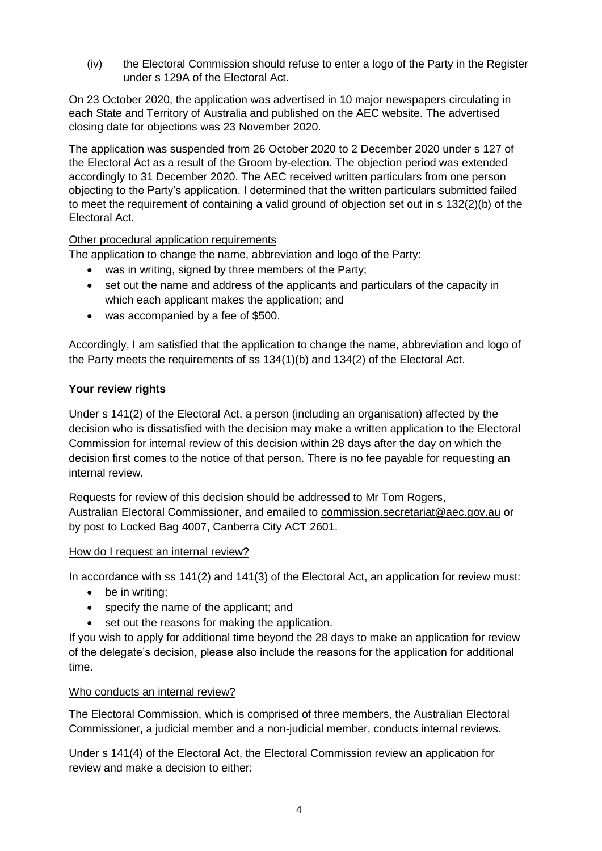(iv) the Electoral Commission should refuse to enter a logo of the Party in the Register under s 129A of the Electoral Act.

On 23 October 2020, the application was advertised in 10 major newspapers circulating in each State and Territory of Australia and published on the AEC website. The advertised closing date for objections was 23 November 2020.

The application was suspended from 26 October 2020 to 2 December 2020 under s 127 of the Electoral Act as a result of the Groom by-election. The objection period was extended accordingly to 31 December 2020. The AEC received written particulars from one person objecting to the Party's application. I determined that the written particulars submitted failed to meet the requirement of containing a valid ground of objection set out in s 132(2)(b) of the Electoral Act.

### Other procedural application requirements

The application to change the name, abbreviation and logo of the Party:

- was in writing, signed by three members of the Party;
- set out the name and address of the applicants and particulars of the capacity in which each applicant makes the application; and
- was accompanied by a fee of \$500.

Accordingly, I am satisfied that the application to change the name, abbreviation and logo of the Party meets the requirements of ss 134(1)(b) and 134(2) of the Electoral Act.

### **Your review rights**

Under s 141(2) of the Electoral Act, a person (including an organisation) affected by the decision who is dissatisfied with the decision may make a written application to the Electoral Commission for internal review of this decision within 28 days after the day on which the decision first comes to the notice of that person. There is no fee payable for requesting an internal review.

Requests for review of this decision should be addressed to Mr Tom Rogers, Australian Electoral Commissioner, and emailed to commission.secretariat@aec.gov.au or by post to Locked Bag 4007, Canberra City ACT 2601.

#### How do I request an internal review?

In accordance with ss 141(2) and 141(3) of the Electoral Act, an application for review must:

- be in writing:
- specify the name of the applicant; and
- set out the reasons for making the application.

If you wish to apply for additional time beyond the 28 days to make an application for review of the delegate's decision, please also include the reasons for the application for additional time.

#### Who conducts an internal review?

The Electoral Commission, which is comprised of three members, the Australian Electoral Commissioner, a judicial member and a non-judicial member, conducts internal reviews.

Under s 141(4) of the Electoral Act, the Electoral Commission review an application for review and make a decision to either: